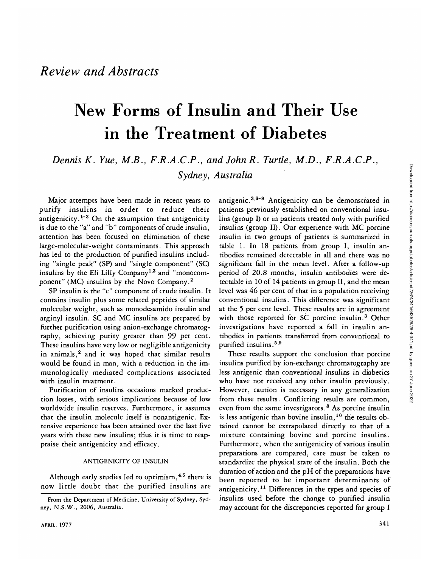Downloaded from http://diabetesjournals.org/diabetes/article-pdf/26/4/341/643526/26-4-341.pdf by guest on 27 June 2022 Downloaded from http://diabetesjournals.org/diabetes/article-pdf/26/4/341/643526/26-4-341.pdf by guest on 27 June 2022

# New Forms of Insulin and Their Use in the Treatment of Diabetes

*Dennis K. Yue, MB., F.R.A.C.P., and John R. Turtle, M.D., F.R.A.C.P., Sydney, Australia*

Major attempts have been made in recent years to purify insulins in order to reduce their antigenicity.<sup>1-3</sup> On the assumption that antigenicity is due to the "a" and "b" components of crude insulin, attention has been focused on elimination of these large-molecular-weight contaminants. This approach has led to the production of purified insulins including "single peak" (SP) and "single component" (SC) insulins by the Eli Lilly Company<sup>1,3</sup> and "monocomponent" (MC) insulins by the Novo Company.<sup>2</sup>

SP insulin is the "c" component of crude insulin. It contains insulin plus some related peptides of similar molecular weight, such as monodesamido insulin and arginyl insulin. SC and MC insulins are prepared by further purification using anion-exchange chromatography, achieving purity greater than 99 per cent. These insulins have very low or negligible antigenicity in animals,<sup>2</sup> and it was hoped that similar results would be found in man, with a reduction in the immunologically mediated complications associated with insulin treatment.

Purification of insulins occasions marked production losses, with serious implications because of low worldwide insulin reserves. Furthermore, it assumes that the insulin molecule itself is nonantigenic. Extensive experience has been attained over the last five years with these new insulins; thus it is time to reappraise their antigenicity and efficacy.

### ANTIGENICITY OF INSULIN

Although early studies led to optimism,<sup>4,5</sup> there is now little doubt that the purified insulins are

antigenic.<sup>3,6-9</sup> Antigenicity can be demonstrated in patients previously established on conventional insulins (group I) or in patients treated only with purified insulins (group II). Our experience with MC porcine insulin in two groups of patients is summarized in table 1. In 18 patients from group I, insulin antibodies remained detectable in all and there was no significant fall in the mean level. After a follow-up period of 20.8 months, insulin antibodies were detectable in 10 of 14 patients in group II, and the mean level was 46 per cent of that in a population receiving conventional insulins. This difference was significant at the 5 per cent level. These results are in agreement with those reported for SC porcine insulin.<sup>3</sup> Other investigations have reported a fall in insulin antibodies in patients transferred from conventional to purified insulins.<sup>5,9</sup>

These results support the conclusion that porcine insulins purified by ion-exchange chromatography are less antigenic than conventional insulins in diabetics who have not received any other insulin previously. However, caution is necessary in any generalization from these results. Conflicting results are common, even from the same investigators.<sup>8</sup> As porcine insulin is less antigenic than bovine insulin,<sup>10</sup> the results obtained cannot be extrapolated directly to that of a mixture containing bovine and porcine insulins. Furthermore, when the antigenicity of various insulin preparations are compared, care must be taken to standardize the physical state of the insulin. Both the duration of action and the pH of the preparations have been reported to be important determinants of antigenicity.<sup>11</sup> Differences in the types and species of insulins used before the change to purified insulin may account for the discrepancies reported for group I

From the Department of Medicine, University of Sydney, Sydney, N.S.W., 2006, Australia.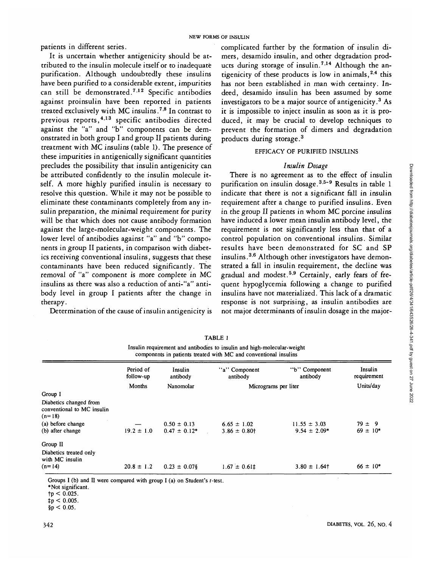**NEW FORMS OF INSULIN** 

It is uncertain whether antigenicity should be attributed to the insulin molecule itself or to inadequate purification. Although undoubtedly these insulins have been purified to a considerable extent, impurities can still be demonstrated.<sup>712</sup> Specific antibodies against proinsulin have been reported in patients treated exclusively with MC insulins.<sup>7,8</sup> In contrast to previous reports,<sup>4,13</sup> specific antibodies directed against the "a" and "b" components can be demonstrated in both group I and group II patients during treatment with MC insulins (table 1). The presence of these impurities in antigenically significant quantities precludes the possibility that insulin antigenicity can be attributed confidently to the insulin molecule itself. A more highly purified insulin is necessary to resolve this question. While it may not be possible to eliminate these contaminants completely from any insulin preparation, the minimal requirement for purity will be that which does not cause antibody formation against the large-molecular-weight components. The lower level of antibodies against "a" and "b" components in group II patients, in comparison with diabetics receiving conventional insulins, suggests that these contaminants have been reduced significantly. The removal of "a" component is more complete in MC insulins as there was also a reduction of anti-"a" antibody level in group I patients after the change in therapy.

Determination of the cause of insulin antigenicity is

complicated further by the formation of insulin dimers, desamido insulin, and other degradation products during storage of insulin.<sup>7,14</sup> Although the antigenicity of these products is low in animals,<sup>2,4</sup> this has not been established in man with certainty. Indeed, desamido insulin has been assumed by some investigators to be a major source of antigenicity.<sup>3</sup> As it is impossible to inject insulin as soon as it is produced, it may be crucial to develop techniques to prevent the formation of dimers and degradation products during storage.<sup>3</sup>

## EFFICACY OF PURIFIED INSULINS

## *Insulin Dosage*

There is no agreement as to the effect of insulin purification on insulin dosage.<sup>3,5-9</sup> Results in table 1 indicate that there is not a significant fall in insulin requirement after a change to purified insulins. Even in the group II patients in whom MC porcine insulins have induced a lower mean insulin antibody level, the requirement is not significantly less than that of a control population on conventional insulins. Similar results have been demonstrated for SC and SP insulins.<sup>36</sup> Although other investigators have demonstrated a fall in insulin requirement, the decline was gradual and modest.<sup>5,9</sup> Certainly, early fears of frequent hypoglycemia following a change to purified insulins have not materialized. This lack of a dramatic response is not surprising, as insulin antibodies are not major determinants of insulin dosage in the major-

| components in patients treated with MC and conventional insulins |                        |                     |                           |                           |                        |
|------------------------------------------------------------------|------------------------|---------------------|---------------------------|---------------------------|------------------------|
|                                                                  | Period of<br>follow-up | Insulin<br>antibody | "a" Component<br>antibody | "b" Component<br>antibody | Insulin<br>requirement |
|                                                                  | Months                 | Nanomolar           | Micrograms per liter      |                           | Units/day              |
| Group I                                                          |                        |                     |                           |                           |                        |
| Diabetics changed from<br>conventional to MC insulin<br>$(n=18)$ |                        |                     |                           |                           |                        |
| (a) before change                                                |                        | $0.50 \pm 0.13$     | $6.65 \pm 1.02$           | $11.55 \pm 3.03$          | $79 \pm 9$             |
| (b) after change                                                 | $19.2 \pm 1.0$         | $0.47 \pm 0.12^*$   | $3.86 \pm 0.80$           | $9.54 \pm 2.09*$          | $69 \pm 10*$           |
| Group II                                                         |                        |                     |                           |                           |                        |
| Diabetics treated only<br>with MC insulin                        |                        |                     |                           |                           |                        |
| $(n=14)$                                                         | $20.8 \pm 1.2$         | $0.23 \pm 0.078$    | $1.67 \pm 0.61$           | $3.80 \pm 1.64$ †         | $66 \pm 10*$           |

TABLE 1 Insulin requirement and antibodies to insulin and high-molecular-weight

Groups I (b) and II were compared with group I (a) on Student's  $t$ -test.

 $$p < 0.05$ .

<sup>\*</sup>Not significant,

 $tp < 0.025$ .

 $\sharp p < 0.005$ .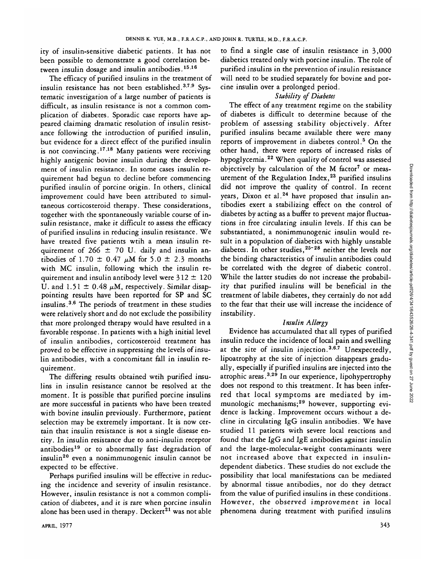ity of insulin-sensitive diabetic patients. It has. not been possible to demonstrate a good correlation between insulin dosage and insulin antibodies.<sup>15,16</sup>

The efficacy of purified insulins in the treatment of insulin resistance has not been established.<sup>3,7,9</sup> Systematic investigation of a large number of patients is difficult, as insulin resistance is not a common complication of diabetes. Sporadic case reports have appeared claiming dramatic resolution of insulin resistance following the introduction of purified insulin, but evidence for a direct effect of the purified insulin is not convincing.<sup>17,18</sup> Many patients were receiving highly antigenic bovine insulin during the development of insulin resistance. In some cases insulin requirement had begun to decline before commencing purified insulin of porcine origin. In others, clinical improvement could have been attributed to simultaneous corticosteroid therapy. These considerations, together with the spontaneously variable course of insulin resistance, make it difficult to assess the efficacy of purified insulins in reducing insulin resistance. We have treated five patients wtih a mean insulin requirement of 266  $\pm$  70 U. daily and insulin antibodies of 1.70  $\pm$  0.47  $\mu$ M for 5.0  $\pm$  2.3 months with MC insulin, following which the insulin requirement and insulin antibody level were  $312 \pm 120$ U. and  $1.51 \pm 0.48 \mu M$ , respectively. Similar disappointing results have been reported for SP and SC insulins.<sup>3,6</sup> The periods of treatment in these studies were relatively short and do not exclude the possibility that more prolonged therapy would have resulted in a favorable response. In patients with a high initial level of insulin antibodies, corticosteroid treatment has proved to be effective in suppressing the levels of insulin antibodies, with a concomitant fall in insulin requirement.

The differing results obtained wtih purified insulins in insulin resistance cannot be resolved at the moment. It is possible that purified porcine insulins are more successful in patients who have been treated with bovine insulin previously. Furthermore, patient selection may be extremely important. It is now certain that insulin resistance is aot a single disease entity. In insulin resistance due to anti-insulin receptor antibodies<sup>19</sup> or to abnormally fast degradation of insulin<sup>20</sup> even a nonimmunogenic insulin cannot be expected to be effective.

Perhaps purified insulins will be effective in reducing the incidence and severity of insulin resistance. However, insulin resistance is not a common complication of diabetes, and it is rare when porcine insulin alone has been used in therapy. Deckert<sup>21</sup> was not able

to find a single case of insulin resistance in 3,000 diabetics treated only with porcine insulin. The role of purified insulins in the prevention of insulin resistance will need to be studied separately for bovine and porcine insulin over a prolonged period.

## *Stability of Diabetes*

The effect of any treatment regime on the stability of diabetes is difficult to determine because of the problem of assessing stability objectively. After purified insulins became available there were many **reports of improvement in diabetes control.<sup>5</sup> On the** other hand, there were reports of increased risks of hypoglycemia.22 When quality of control was assessed objectively by calculation of the M factor<sup>7</sup> or measurement of the Regulation Index,<sup>23</sup> purified insulins did not improve the quality of control. In recent years, Dixon et al.<sup>24</sup> have proposed that insulin antibodies exert a stabilizing effect on the control of diabetes by acting as a buffer to prevent major fluctuations in free circulating insulin levels. If this can be substantiated, a nonimmunogenic insulin would result in a population of diabetics with highly unstable diabetes. In other studies,<sup>25-28</sup> neither the levels nor the binding characteristics of insulin antibodies could be correlated with the degree of diabetic control. While the latter studies do not increase the probability that purified insulins will be beneficial in the treatment of labile diabetes, they certainly do not add to the fear that their use will increase the incidence of instability.

## *Insulin Allergy*

Evidence has accumulated that all types of purified insulin reduce the incidence of local pain and swelling at the site of insulin injection.<sup>3,6,7</sup> Unexpectedly, lipoatrophy at the site of injection disappears gradually, especially if purified insulins are injected into the atrophic areas.<sup>3,29</sup> In our experience, lipohypertrophy does not respond to this treatment. It has been inferred that local symptoms are mediated by immunologic mechanisms;<sup>29</sup> however, supporting evidence is lacking. Improvement occurs.without a decline in circulating IgG insulin antibodies. We have studied 11 patients with severe local reactions and found that the IgG and IgE antibodies against insulin and the large-molecular-weight contaminants were not increased above that expected in insulindependent diabetics. These studies do not exclude the possibility that local manifestations can be mediated by abnormal tissue antibodies, nor do they detract from the value of purified insulins in these conditions. However, the observed improvement in local phenomena during treatment with purified insulins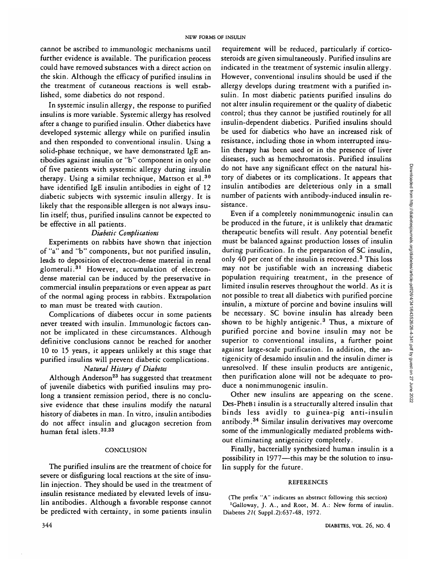cannot be ascribed to immunologic mechanisms until further evidence is available. The purification process could have removed substances with a direct action on the skin. Although the efficacy of purified insulins in the treatment of cutaneous reactions is well established, some diabetics do not respond.

In systemic insulin allergy, the response to purified insulins is more variable. Systemic allergy has resolved after a change to purified insulin. Other diabetics have developed systemic allergy while on purified insulin and then responded to conventional insulin. Using a solid-phase technique, we have demonstrated IgE antibodies against insulin or "b" component in only one of five patients with systemic allergy during insulin therapy. Using a similar technique, Mattson et al.<sup>30</sup> have identified IgE insulin antibodies in eight of 12 diabetic subjects with systemic insulin allergy. It is likely that the responsible allergen is not always insulin itself; thus, purified insulins cannot be expected to be effective in all patients.

#### *Diabetic Complications*

Experiments on rabbits have shown that injection of "a" and "b" components, but not purified insulin, leads to deposition of electron-dense material in renal glomeruli.<sup>31</sup> However, accumulation of electrondense material can be induced by the preservative in commercial insulin preparations or even appear as part of the normal aging process in rabbits. Extrapolation to man must be treated with caution.

Complications of diabetes occur in some patients never treated with insulin. Immunologic factors cannot be implicated in these circumstances. Although definitive conclusions cannot be reached for another 10 to 15 years, it appears unlikely at this stage that purified insulins will prevent diabetic complications.

#### *Natural History of Diabetes*

Although Anderson<sup>23</sup> has suggested that treatment of juvenile diabetics with purified insulins may prolong a transient remission period, there is no conclusive evidence that these insulins modify the natural history of diabetes in man. In vitro, insulin antibodies do not affect insulin and glucagon secretion from human fetal islets.<sup>32,33</sup>

#### **CONCLUSION**

The purified insulins are the treatment of choice for severe or disfiguring local reactions at the site of insulin injection. They should be used in the treatment of insulin resistance mediated by elevated levels of insulin antibodies. Although a favorable response cannot be predicted with certainty, in some patients insulin

requirement will be reduced, particularly if corticosteroids are given simultaneously. Purified insulins are indicated in the treatment of systemic insulin allergy. However, conventional insulins should be used if the allergy develops during treatment with a purified insulin. In most diabetic patients purified insulins do not alter insulin requirement or the quality of diabetic control; thus they cannot be justified routinely for all insulin-dependent diabetics. Purified insulins should be used for diabetics who have an increased risk of resistance, including those in whom interrupted insulin therapy has been used or in the presence of liver diseases, such as hemochromatosis. Purified insulins do not have any significant effect on the natural history of diabetes or its complications. It appears that insulin antibodies are deleterious only in a small number of patients with antibody-induced insulin resistance.

Even if a completely nonimmunogenic insulin can be produced in the future, it is unlikely that dramatic therapeutic benefits will result. Any potential benefit must be balanced against production losses of insulin during purification. In the preparation of SC insulin, only 40 per cent of the insulin is recovered.<sup>3</sup> This loss may not be justifiable with an increasing diabetic population requiring treatment, in the presence of limited insulin reserves throughout the world. As it is not possible to treat all diabetics with purified porcine insulin, a mixture of porcine and bovine insulins will be necessary. SC bovine insulin has already been shown to be highly antigenic.<sup>3</sup> Thus, a mixture of purified porcine and bovine insulin may not be superior to conventional insulins, a further point against large-scale purification. In addition, the antigenicity of desamido insulin and the insulin dimer is unresolved. If these insulin products are antigenic, then purification alone will not be adequate to produce a nonimmunogenic insulin.

Other new insulins are appearing on the scene. Des-PheBl insulin is a structurally altered insulin that binds less avidly to guinea-pig anti-insulin antibody.<sup>34</sup> Similar insulin derivatives may overcome some of the immunlogically mediated problems without eliminating antigenicity completely.

Finally, bacterially synthesized human insulin is a possibility in 1977—this may be the solution to insulin supply for the future.

#### REFERENCES

(The prefix "A" indicates an abstract following this section) <sup>1</sup>Galloway, J. A., and Root, M. A.: New forms of insulin. Diabetes *21(* Suppl.2):637-48, 1972.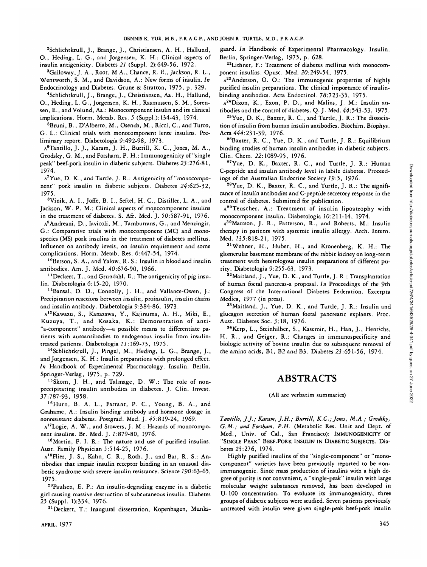2 Schlichtkrull, J., Brange, J., Christiansen, A. H., Hallund, O., Heding, L. G., and Jorgensen, K. H.: Clinical aspects of insulin antigenicity. Diabetes *21* (Suppl. 2):649-56, 1972.

3 Galloway, J. A., Root, M A., Chance, R. E., Jackson, R. L., Wentworth, S. M., and Davidson, A.: New forms of insulin. *In* Endocrinology and Diabetes. Grune & Stratton, 1975, p. 329-

4 Schlichtkrull, J., Brange, J., Christiansen, Aa. H., Hallund, O., Heding, L. G., Jorgensen, K. H., Rasmussen, S. M., Sorensen, E., and Volund, Aa.: Monocomponent insulin and its clinical implications. Horm. Metab. Res. *5* (Suppl.): 134-43, 1974.

<sup>5</sup>Bruni, B., D'Alberto, M., Osenda, M., Ricci, C., and Turco, G. L.: Clinical trials with monocomponent lente insulins. Preliminary report. Diabetologia 9:492-98, 1973.

A6 Tantillo, J. J., Karam, J. H., Burrill, K. C , Jones, M. A., Grodsky, G. M., andForsham, P. H.: Immunogenicity of "single peak" beef-pork insulin in diabetic subjects. Diabetes 23:276-81, 1974.

A<sup>7</sup>Yue, D. K., and Turtle, J. R.: Antigenicity of "monocomponent" pork insulin in diabetic subjects. Diabetes 24:625-32, 1975.

<sup>8</sup>Vinik, A. I., Joffe, B. I., Seftel, H. C., Distiller, L. A., and Jackson, W. P. M.: Clinical aspects of monocomponent insulins in the treatment of diabetes. S. Afr. Med. J. 50:587-91, 1976.

A<sup>9</sup>Andreani, D., Iavicoli, M., Tamburrans, G., and Menzingir, G.: Comparative trials with monocomponent (MQ and monospecies (MS) pork insulins in the treatment of diabetes mellitus. Influence on antibody levels, on insulin requirement and some complications. Horm. Metab. Res. 6:447-54, 1974.

10Berson, S. A., and Yalow, R. S.: Insulin in blood and insulin antibodies. Am. J. Med. 40:676-90, 1966.

<sup>11</sup> Deckert, T., and Grundahl, E.: The antigenicity of pig insulin. Diabetologia 6:15-20, 1970.

12Bansal, D. D., Connolly, J. H., and Vallance-Owen, J.: Precipitation reactions between insulin, proinsulin, insulin chains and insulin antibody. Diabetologia 9:384-86, 1973-

A13Kawazu, S., Kanazawa, Y., Kajinuma, A. H., Miki, E., Kuzuya, T., and Kosaka, K.: Demonstration of anti- "a-component" antibody—a possible means to differentiate patients with autoantibodies to endogenous insulin from insulintreated patients. Diabetologia *11:*169-73, 1975.

14Schlichtkrull, J., Pingel, M., Heding, L. G., Brange, J., and Jorgensen, K. H.: Insulin preparations with prolonged effect. *In* Handbook of Experimental Pharmacology. Insulin. Berlin, Springer-Verlag, 1975, p. 729.

15Skom, J. H., and Talmage, D. W.: The role of nonprecipitating insulin antibodies in diabetes. J. Clin. Invest. 37:787-93, 1958.

<sup>16</sup>Hurn, B. A. L., Farrant, P. C., Young, B. A., and Grahame, A.: Insulin binding antibody and hormone dosage in nonresistant diabetes. Postgrad. Med. J. 45:819-24, 1969.

A17Logie, A. W., and Stowers, J. M.: Hazards of monocomponent insulins. Br. Med. J. 1:879-80, 1976.

18Martin, F. I. R.: The nature and use of purified insulins. Aust. Family Physician 5:514-25, 1976.

A19Flier, J. S., Kahn, C. R., Roth, J., and Bar, R. S.: Antibodies that impair insulin receptor binding in an unusual diabetic syndrome with severe insulin resistance. Science 790:63-65, 1975.

20Paulsen, E. P.: An insulin-degrading enzyme in a diabetic girl causing massive destruction of subcutaneous insulin. Diabetes *25* (Suppl. 1):334, 1976.

21Deckert, T.: Inaugural dissertation, Kopenhagen, Munks-

APRIL, 1977 **345** 

gaard. *In* Handbook of Experimental Pharmacology. Insulin. Berlin, Springer-Verlag, 1975, p. 628.

22Lithner, F.: Treatment of diabetes mellitus with monocomponent insulins. Opusc. Med. 20:249-54, 1975.

 $A^{23}$ Anderson, O. O.: The immunogenic properties of highly purified insulin preparations. The clinical importance of insulinbinding antibodies. Acta Endocrinol. 78:723-35, 1975.

 $A^{24}$ Dixon, K., Exon, P. D., and Malins, J. M.: Insulin antibodies and the control of diabetes. Q-J. Med. 44:543-53, 1975.

<sup>25</sup>Yue, D. K., Baxter, R. C., and Turtle, J. R.: The dissociation of insulin from human insulin antibodies. Biochim. Biophys. Acta 444:231-39, 1976.

 $26B$ axter, R. C., Yue, D. K., and Turtle, J. R.: Equilibrium binding studies of human insulin antibodies in diabetic subjects. Clin. Chem. 22:1089-95, 1976.

<sup>27</sup>Yue, D. K., Baxter, R. C., and Turtle, J. R.: Human C-peptide and insulin antibody level in labile diabetes. Proceedings of the Australian Endocrine Society *19:5,* 1976.

<sup>28</sup>Yue, D. K., Baxter, R. C., and Turtle, J. R.: The significance of insulin antibodies and C-peptide secretory response in the control of diabetes. Submitted for publication.

 $A^{29}$ Teuscher, A.: Treatment of insulin lipoatrophy with monocomponent insulin. Diabetologia 20:211-14, 1974.

A30Mattson, J. R., Patterson, R., and Roberts, M.: Insulin therapy in patients with systemic insulin allergy. Arch. Intern. Med. 735:818-21, 1975.

31Wehner, H., Huber, H., and Kronenberg, K. H.: The glomerular basement membrane of the rabbit kidney on long-term treatment with heterologous insulin preparations of different purity. Diabetologia 9:255-63, 1973.

32Maitland, J., Yue, D. K., and Turtle, J. R.: Transplantation of human foetal pancreas-a proposal. *In* Proceedings of the 9th Congress of the International Diabetes Federation. Excerpta Medica, 1977 (in press).

33Maitland, J., Yue, D. K., and Turtle, J. R.: Insulin and glucagon secretion of human foetal pancreatic explants. Proc. Aust. Diabetes Soc. 3:18, 1976.

34Kerp, L., Steinhilber, S., Kasemir, H., Han, J., Henrichs, H. R., and Geiger, R.: Changes in immunospecificity and biologic activity of bovine insulin due to subsequent removal of the amino acids, Bl, B2 and B3. Diabetes 23:651-56, 1974.

## **ABSTRACTS**

#### (All are verbatim summaries)

*Tantillo, J.J.; Karam, J.H.; Burrill, K.C.; Jones, M.A.; Grodsky, G.M.; and Forsham, P.H.* (Metabolic Res. Unit and Dept. of Med., Univ. of Cal., San Francisco): IMMUNOGENICITY OF "SINGLE PEAK" BEEF-PORK INSULIN IN DIABETIC SUBJECTS. Diabetes 23:276, 1974.

Highly purified insulins of the "single-component" or "monocomponent" varieties have been previously reported to be nonimmunogenic. Since mass production of insulins with a high degree of purity is not convenient, a "single-peak" insulin with large molecular weight substances removed, has been developed in U-100 concentration. To evaluate its immunogenicity, three groups of diabetic subjects were studied. Seven patients previously untreated with insulin were given single-peak beef-pork insulin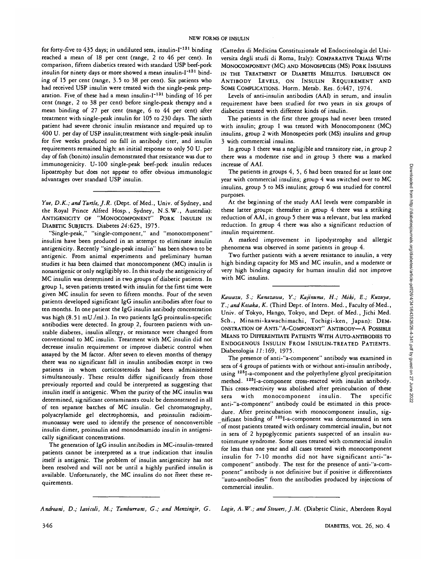for forty-five to 435 days; in undiluted sera, insulin-I<sup>-131</sup> binding reached a mean of 18 per cent (range, 2 to 46 per cent). In comparison, fifteen diabetics treated with standard USP beef-pork insulin for ninety days or more showed a mean insulin-I<sup>-131</sup> binding of 15 per cent (range, 3.5 to 38 per cent). Six patients who had received USP insulin were treated with the single-peak preparation. Five of these had a mean insulin-I<sup>-131</sup> binding of 16 per cent (range, 2 to 38 per cent) before single-peak therapy and a mean binding of 27 per cent (range, 6 to 44 per cent) after treatment with single-peak insulin for 105 to 230 days. The sixth patient had severe chronic insulin resistance and required up to 400 U. per day of USP insulin;treatment with single-peak insulin for five weeks produced no fall in antibody titer, and insulin requirements remained high: an initial response to only 50 U. per day of fish (bonito) insulin demonstrated that resistance was due to immunogenicity. U-100 single-peak beef-pork insulin reduces lipoatrophy but does not appear to offer obvious immunologic advantages over standard USP insulin.

*Yue, D.K.; and Turtle, J.R.* (Dept. of Med., Univ. of Sydney, and the Royal Prince Alfred Hosp., Sydney, N.S.W., Australia): ANTIGENICITY OF "MONOCOMPONENT" PORK INSULIN IN DIABETIC SUBJECTS. Diabetes 24:625, 1975.

"Single-peak," "single-component," and "monocomponent" insulins have been produced in an attempt to eliminate insulin antigenicity. Recently "single-peak insulin" has been shown to be antigenic. From animal experiments and preliminary human studies it has been claimed that monocomponent (MC) insulin is nonantigenic or only negligibly so. In this study the antigenicity of MC insulin was determined in two groups of diabetic patients. In group 1, seven patients treated with insulin for the first time were given MC insulin for seven to fifteen months. Four of the seven patients developed significant IgG insulin antibodies after four to ten months. In one patient the IgG insulin antibody concentration was high (8.51 mU./ml.). In two patients IgG proinsulin-specific antibodies were detected. In group 2, fourteen patients with unstable diabetes, insulin allergy, or resistance were changed from conventional to MC insulin. Treatment with MC insulin did not decrease insulin requirement or improve diabetic control when assayed by the M factor. After seven to eleven months of therapy there was no significant fall in insulin antibodies except in two patients in whom corticosteroids had been administered simultaneously. These results differ significantly from those previously reported and could be interpreted as suggesting that insulin itself is antigenic. When the purity of the MC insulin was determined, significant contaminants coulc be demonstrated in all of ten separate batches of MC insulin. Gel chromatography, polyacrylamide gel electrophoresis, and proinsulin radioimmunoassay were used to identify the presence of nonconvertible insulin dimer, proinsulin and monodesamido insulin in antigenically significant concentrations.

The generation of IgG insulin antibodies in MC-insulin-treated patients cannot be interpreted as a true indication that insulin itself is antigenic. The problem of insulin antigenicity has not been resolved and will not be until a highly purified insulin is available. Unfortunately, the MC insulins do not meet these requirements.

(Cattedra di Medicina Constituzionale ed Endocrinologia del Universita degli studi di Roma, Italy): COMPARATIVE TRIALS WITH MONOCOMPONENT (MC) AND MONOSPECIES (MS) PORK INSULINS IN THE TREATMENT OF DIABETES MELLITUS. INFLUENCE ON ANTIBODY LEVELS, ON INSULIN REQUIREMENT AND SOME COMPLICATIONS. Horm. Metab. Res. 6:447, 1974.

Levels of anti-insulin antibodies (AAI) in serum, and insulin requirement have been studied for two years in six groups of diabetics treated with different kinds of insulin.

The patients in the first three groups had never been treated with insulin; group 1 was treated with Monocomponent (MC) insulins, group 2 with Monospecies pork (MS) insulins and group 3 with commercial insulins.

In group 1 there was a negligible and transitory rise, in group 2 there was a moderate rise and in group 3 there was a marked increase of AAI.

The patients in groups 4, 5, 6 had been treated for at least one year with commercial insulins; group 4 was switched over to MC insulins, group 5 to MS insulins; group 6 was studied for control purposes.

At the beginning of the study AAI levels were comparable in these latter groups: thereafter in group 4 there was a striking reduction of AAI, in group 5 there was a relevant, but less marked reduction. In group 4 there was also a significant reduction of insulin requirement.

A marked improvement in lipodystrophy and allergic phenomena was observed in some patients in group 4.

Two further patients with a severe resistance to insulin, a very high binding capacity for MS and MC insulin, and a moderate or very high binding capacity for human insulin did not improve with MC insulins.

*Kawazu, S.; Kanazawa, Y.; Kajinuma, H.; Miki, E.; Kuzuya, T.; andKosaka, K.* (Third Dept. of Intern. Med., Faculty of Med., Univ. of Tokyo, Hango, Tokyo, and Dept. of Med., Jichi Med. Sch., Minami-kawachimachi, Tochigi-ken, Japan): DEM-ONSTRATION OF ANTI-"A-COMPONENT" ANTIBODY—A POSSIBLE MEANS TO DIFFERENTIATE PATIENTS WITH AUTO-ANTIBODIES TO ENDOGENOUS INSULIN FROM INSULIN-TREATED PATIENTS. Diabetologia *11:169,* 1975.

The presence of anti-"a-component" antibody was examined in sera of 4 groups of patients with or without anti-insulin antibody, using <sup>125</sup>I-a-component and the polyethylene glycol precipitation method. 125I-a-component cross-reacted with insulin antibody. This cross-reactivity was abolished after preincubation of these sera with monocomponent insulin. The specific anti-"a-component" antibody could be estimated in this procedure. After preincubation with monocomponent insulin, significant binding of 125I-a-component was demonstrated in sera of most patients treated with ordinary commercial insulin, but not in sera of 2 hypoglycemic patients suspected of an insulin autoimmune syndrome. Some cases treated with commercial insulin for less than one year and all cases treated with monocomponent insulin for 7-10 months did not have significant anti-"acomponent" antibody. The test for the presence of anti-"a-component" antibody is not definitive but if positive it differentiates "auto-antibodies" from the antibodies produced by injections of commercial insulin.

*Andreani, D.; lavicoli, M.; Tamburrans, G.; and Menzingir, G. Logie, A.W.; and Stowers, J.M..* (Diabetic Clinic, Aberdeen Royal